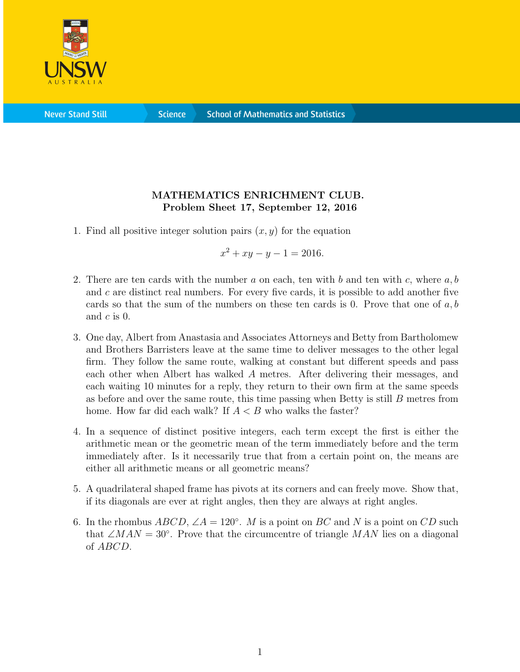

**Science** 

## MATHEMATICS ENRICHMENT CLUB. Problem Sheet 17, September 12, 2016

1. Find all positive integer solution pairs  $(x, y)$  for the equation

$$
x^2 + xy - y - 1 = 2016.
$$

- 2. There are ten cards with the number a on each, ten with b and ten with c, where  $a, b$ and  $c$  are distinct real numbers. For every five cards, it is possible to add another five cards so that the sum of the numbers on these ten cards is 0. Prove that one of  $a, b$ and  $c$  is 0.
- 3. One day, Albert from Anastasia and Associates Attorneys and Betty from Bartholomew and Brothers Barristers leave at the same time to deliver messages to the other legal firm. They follow the same route, walking at constant but different speeds and pass each other when Albert has walked A metres. After delivering their messages, and each waiting 10 minutes for a reply, they return to their own firm at the same speeds as before and over the same route, this time passing when Betty is still B metres from home. How far did each walk? If  $A < B$  who walks the faster?
- 4. In a sequence of distinct positive integers, each term except the first is either the arithmetic mean or the geometric mean of the term immediately before and the term immediately after. Is it necessarily true that from a certain point on, the means are either all arithmetic means or all geometric means?
- 5. A quadrilateral shaped frame has pivots at its corners and can freely move. Show that, if its diagonals are ever at right angles, then they are always at right angles.
- 6. In the rhombus  $ABCD$ ,  $\angle A = 120^\circ$ . M is a point on BC and N is a point on CD such that  $\angle MAN = 30^{\circ}$ . Prove that the circumcentre of triangle MAN lies on a diagonal of ABCD.